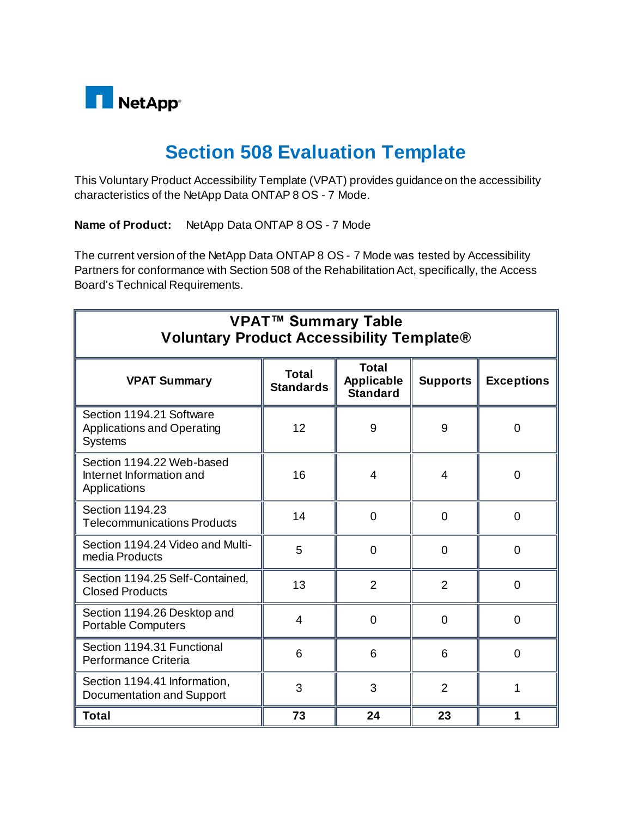

## **Section 508 Evaluation Template**

This Voluntary Product Accessibility Template (VPAT) provides guidance on the accessibility characteristics of the NetApp Data ONTAP 8 OS - 7 Mode.

**Name of Product:** NetApp Data ONTAP 8 OS - 7 Mode

The current version of the NetApp Data ONTAP 8 OS - 7 Mode was tested by Accessibility Partners for conformance with Section 508 of the Rehabilitation Act, specifically, the Access Board's Technical Requirements.

| <b>VPAT™ Summary Table</b><br><b>Voluntary Product Accessibility Template®</b>  |                                  |                                                      |                 |                   |
|---------------------------------------------------------------------------------|----------------------------------|------------------------------------------------------|-----------------|-------------------|
| <b>VPAT Summary</b>                                                             | <b>Total</b><br><b>Standards</b> | <b>Total</b><br><b>Applicable</b><br><b>Standard</b> | <b>Supports</b> | <b>Exceptions</b> |
| Section 1194.21 Software<br><b>Applications and Operating</b><br><b>Systems</b> | 12                               | 9                                                    | 9               | $\overline{0}$    |
| Section 1194.22 Web-based<br>Internet Information and<br>Applications           | 16                               | 4                                                    | 4               | $\overline{0}$    |
| Section 1194.23<br><b>Telecommunications Products</b>                           | 14                               | $\Omega$                                             | $\Omega$        | $\overline{0}$    |
| Section 1194.24 Video and Multi-<br>media Products                              | 5                                | $\Omega$                                             | 0               | $\overline{0}$    |
| Section 1194.25 Self-Contained,<br><b>Closed Products</b>                       | 13                               | $\overline{2}$                                       | $\overline{2}$  | 0                 |
| Section 1194.26 Desktop and<br><b>Portable Computers</b>                        | 4                                | 0                                                    | 0               | 0                 |
| Section 1194.31 Functional<br>Performance Criteria                              | 6                                | 6                                                    | 6               | $\overline{0}$    |
| Section 1194.41 Information,<br>Documentation and Support                       | 3                                | 3                                                    | $\overline{2}$  | 1                 |
| <b>Total</b>                                                                    | 73                               | 24                                                   | 23              |                   |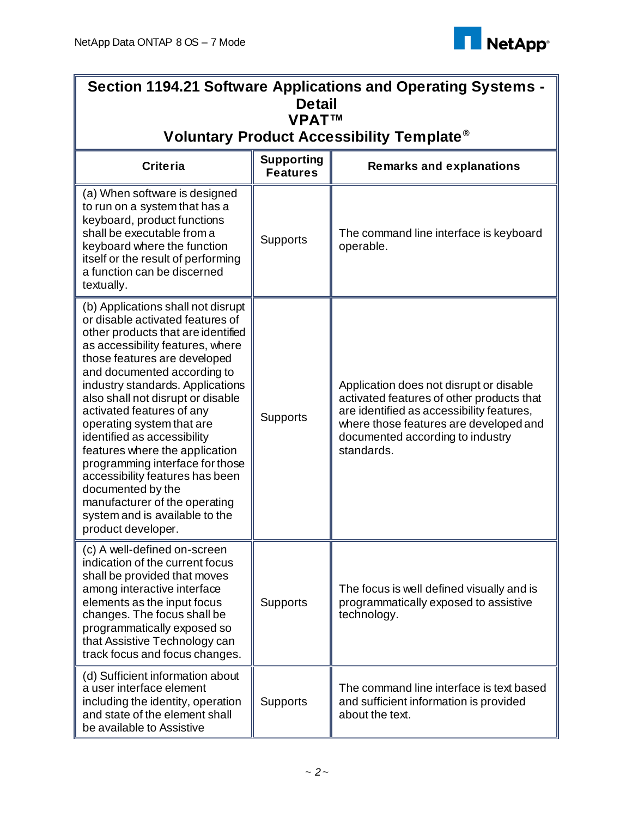

| Section 1194.21 Software Applications and Operating Systems -                                                                                                                                                                                                                                                                                                                                                                                                                                                                                                                                           |                                      |                                                                                                                                                                                                                               |  |
|---------------------------------------------------------------------------------------------------------------------------------------------------------------------------------------------------------------------------------------------------------------------------------------------------------------------------------------------------------------------------------------------------------------------------------------------------------------------------------------------------------------------------------------------------------------------------------------------------------|--------------------------------------|-------------------------------------------------------------------------------------------------------------------------------------------------------------------------------------------------------------------------------|--|
| <b>Detail</b><br><b>VPATTM</b>                                                                                                                                                                                                                                                                                                                                                                                                                                                                                                                                                                          |                                      |                                                                                                                                                                                                                               |  |
| Voluntary Product Accessibility Template <sup>®</sup>                                                                                                                                                                                                                                                                                                                                                                                                                                                                                                                                                   |                                      |                                                                                                                                                                                                                               |  |
| <b>Criteria</b>                                                                                                                                                                                                                                                                                                                                                                                                                                                                                                                                                                                         | <b>Supporting</b><br><b>Features</b> | <b>Remarks and explanations</b>                                                                                                                                                                                               |  |
| (a) When software is designed<br>to run on a system that has a<br>keyboard, product functions<br>shall be executable from a<br>keyboard where the function<br>itself or the result of performing<br>a function can be discerned<br>textually.                                                                                                                                                                                                                                                                                                                                                           | <b>Supports</b>                      | The command line interface is keyboard<br>operable.                                                                                                                                                                           |  |
| (b) Applications shall not disrupt<br>or disable activated features of<br>other products that are identified<br>as accessibility features, where<br>those features are developed<br>and documented according to<br>industry standards. Applications<br>also shall not disrupt or disable<br>activated features of any<br>operating system that are<br>identified as accessibility<br>features where the application<br>programming interface for those<br>accessibility features has been<br>documented by the<br>manufacturer of the operating<br>system and is available to the<br>product developer. | <b>Supports</b>                      | Application does not disrupt or disable<br>activated features of other products that<br>are identified as accessibility features,<br>where those features are developed and<br>documented according to industry<br>standards. |  |
| (c) A well-defined on-screen<br>indication of the current focus<br>shall be provided that moves<br>among interactive interface<br>elements as the input focus<br>changes. The focus shall be<br>programmatically exposed so<br>that Assistive Technology can<br>track focus and focus changes.                                                                                                                                                                                                                                                                                                          | <b>Supports</b>                      | The focus is well defined visually and is<br>programmatically exposed to assistive<br>technology.                                                                                                                             |  |
| (d) Sufficient information about<br>a user interface element<br>including the identity, operation<br>and state of the element shall<br>be available to Assistive                                                                                                                                                                                                                                                                                                                                                                                                                                        | <b>Supports</b>                      | The command line interface is text based<br>and sufficient information is provided<br>about the text.                                                                                                                         |  |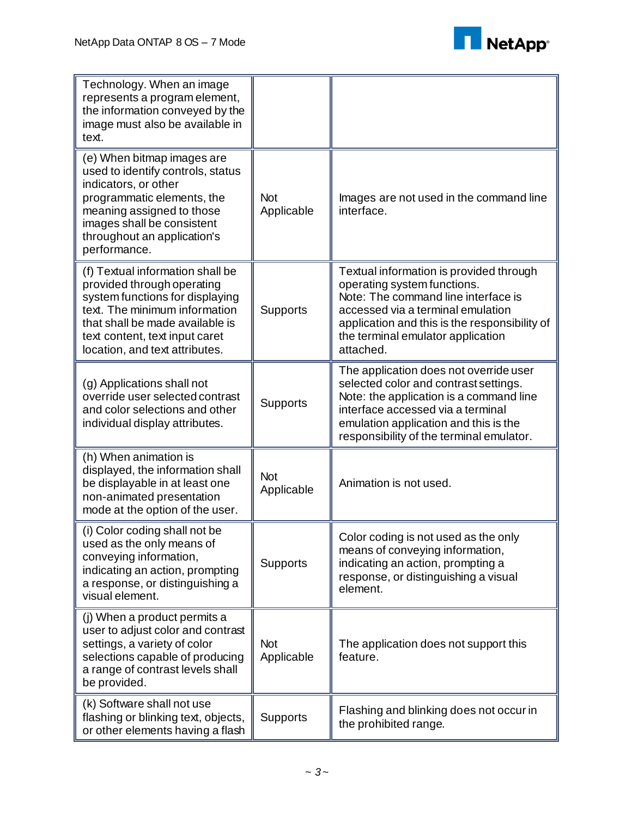

| Technology. When an image<br>represents a program element,<br>the information conveyed by the<br>image must also be available in<br>text.                                                                                                 |                          |                                                                                                                                                                                                                                                       |
|-------------------------------------------------------------------------------------------------------------------------------------------------------------------------------------------------------------------------------------------|--------------------------|-------------------------------------------------------------------------------------------------------------------------------------------------------------------------------------------------------------------------------------------------------|
| (e) When bitmap images are<br>used to identify controls, status<br>indicators, or other<br>programmatic elements, the<br>meaning assigned to those<br>images shall be consistent<br>throughout an application's<br>performance.           | <b>Not</b><br>Applicable | Images are not used in the command line<br>interface.                                                                                                                                                                                                 |
| (f) Textual information shall be<br>provided through operating<br>system functions for displaying<br>text. The minimum information<br>that shall be made available is<br>text content, text input caret<br>location, and text attributes. | Supports                 | Textual information is provided through<br>operating system functions.<br>Note: The command line interface is<br>accessed via a terminal emulation<br>application and this is the responsibility of<br>the terminal emulator application<br>attached. |
| (g) Applications shall not<br>override user selected contrast<br>and color selections and other<br>individual display attributes.                                                                                                         | Supports                 | The application does not override user<br>selected color and contrast settings.<br>Note: the application is a command line<br>interface accessed via a terminal<br>emulation application and this is the<br>responsibility of the terminal emulator.  |
| (h) When animation is<br>displayed, the information shall<br>be displayable in at least one<br>non-animated presentation<br>mode at the option of the user.                                                                               | <b>Not</b><br>Applicable | Animation is not used.                                                                                                                                                                                                                                |
| (i) Color coding shall not be<br>used as the only means of<br>conveying information,<br>indicating an action, prompting<br>a response, or distinguishing a<br>visual element.                                                             | <b>Supports</b>          | Color coding is not used as the only<br>means of conveying information,<br>indicating an action, prompting a<br>response, or distinguishing a visual<br>element.                                                                                      |
| (j) When a product permits a<br>user to adjust color and contrast<br>settings, a variety of color<br>selections capable of producing<br>a range of contrast levels shall<br>be provided.                                                  | <b>Not</b><br>Applicable | The application does not support this<br>feature.                                                                                                                                                                                                     |
| (k) Software shall not use<br>flashing or blinking text, objects,<br>or other elements having a flash                                                                                                                                     | <b>Supports</b>          | Flashing and blinking does not occur in<br>the prohibited range.                                                                                                                                                                                      |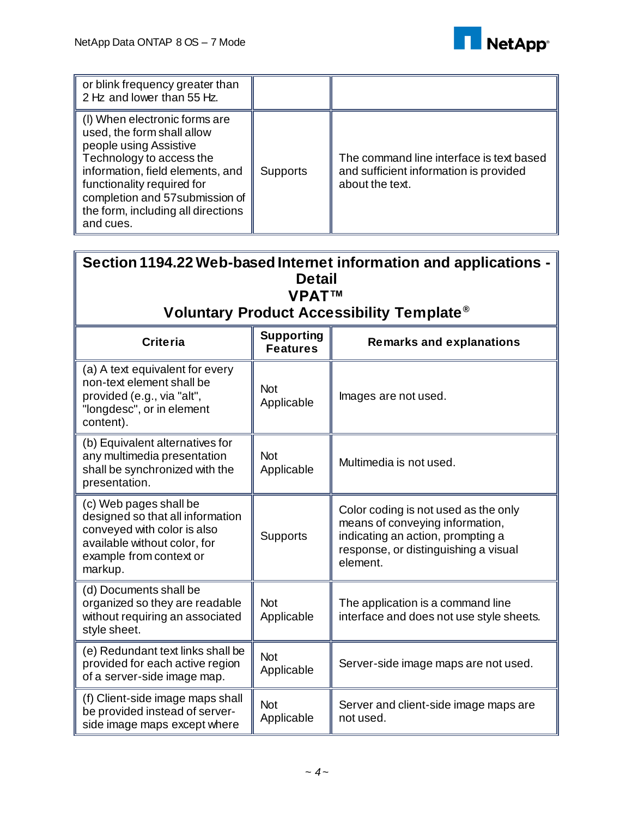

| or blink frequency greater than<br>2 Hz and lower than 55 Hz.                                                                                                                                                                                                             |                 |                                                                                                       |
|---------------------------------------------------------------------------------------------------------------------------------------------------------------------------------------------------------------------------------------------------------------------------|-----------------|-------------------------------------------------------------------------------------------------------|
| (I) When electronic forms are<br>used, the form shall allow<br>people using Assistive<br>Technology to access the<br>information, field elements, and<br>functionality required for<br>completion and 57 submission of<br>the form, including all directions<br>and cues. | <b>Supports</b> | The command line interface is text based<br>and sufficient information is provided<br>about the text. |

| Section 1194.22 Web-based Internet information and applications -<br><b>Detail</b><br><b>VPATTM</b>                                                             |                                      |                                                                                                                                                                  |  |
|-----------------------------------------------------------------------------------------------------------------------------------------------------------------|--------------------------------------|------------------------------------------------------------------------------------------------------------------------------------------------------------------|--|
|                                                                                                                                                                 |                                      | Voluntary Product Accessibility Template <sup>®</sup>                                                                                                            |  |
| <b>Criteria</b>                                                                                                                                                 | <b>Supporting</b><br><b>Features</b> | <b>Remarks and explanations</b>                                                                                                                                  |  |
| (a) A text equivalent for every<br>non-text element shall be<br>provided (e.g., via "alt",<br>"longdesc", or in element<br>content).                            | <b>Not</b><br>Applicable             | Images are not used.                                                                                                                                             |  |
| (b) Equivalent alternatives for<br>any multimedia presentation<br>shall be synchronized with the<br>presentation.                                               | <b>Not</b><br>Applicable             | Multimedia is not used.                                                                                                                                          |  |
| (c) Web pages shall be<br>designed so that all information<br>conveyed with color is also<br>available without color, for<br>example from context or<br>markup. | Supports                             | Color coding is not used as the only<br>means of conveying information,<br>indicating an action, prompting a<br>response, or distinguishing a visual<br>element. |  |
| (d) Documents shall be<br>organized so they are readable<br>without requiring an associated<br>style sheet.                                                     | <b>Not</b><br>Applicable             | The application is a command line<br>interface and does not use style sheets.                                                                                    |  |
| (e) Redundant text links shall be<br>provided for each active region<br>of a server-side image map.                                                             | <b>Not</b><br>Applicable             | Server-side image maps are not used.                                                                                                                             |  |
| (f) Client-side image maps shall<br>be provided instead of server-<br>side image maps except where                                                              | <b>Not</b><br>Applicable             | Server and client-side image maps are<br>not used.                                                                                                               |  |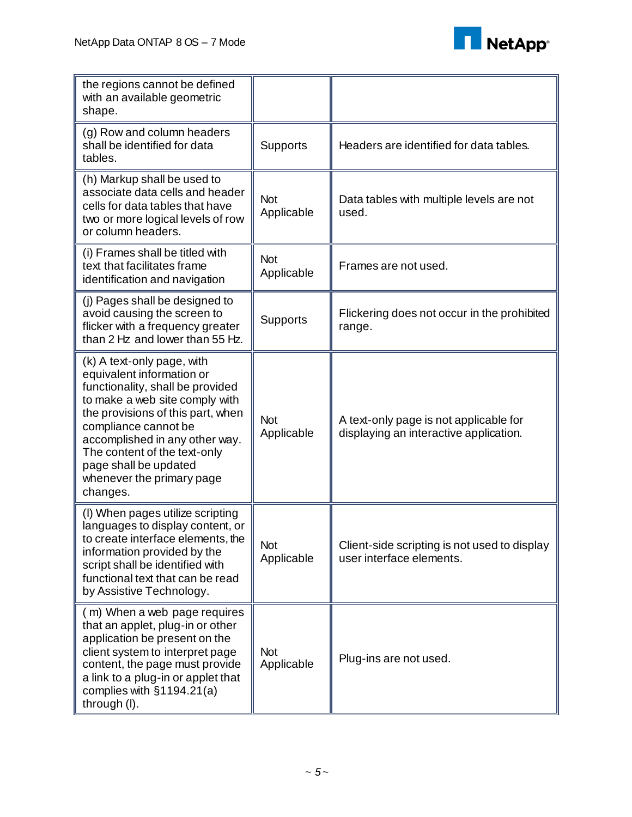

| the regions cannot be defined<br>with an available geometric<br>shape.                                                                                                                                                                                                                                                         |                          |                                                                                  |
|--------------------------------------------------------------------------------------------------------------------------------------------------------------------------------------------------------------------------------------------------------------------------------------------------------------------------------|--------------------------|----------------------------------------------------------------------------------|
| (g) Row and column headers<br>shall be identified for data<br>tables.                                                                                                                                                                                                                                                          | <b>Supports</b>          | Headers are identified for data tables.                                          |
| (h) Markup shall be used to<br>associate data cells and header<br>cells for data tables that have<br>two or more logical levels of row<br>or column headers.                                                                                                                                                                   | <b>Not</b><br>Applicable | Data tables with multiple levels are not<br>used.                                |
| (i) Frames shall be titled with<br>text that facilitates frame<br>identification and navigation                                                                                                                                                                                                                                | <b>Not</b><br>Applicable | Frames are not used.                                                             |
| (i) Pages shall be designed to<br>avoid causing the screen to<br>flicker with a frequency greater<br>than 2 Hz and lower than 55 Hz.                                                                                                                                                                                           | <b>Supports</b>          | Flickering does not occur in the prohibited<br>range.                            |
| (k) A text-only page, with<br>equivalent information or<br>functionality, shall be provided<br>to make a web site comply with<br>the provisions of this part, when<br>compliance cannot be<br>accomplished in any other way.<br>The content of the text-only<br>page shall be updated<br>whenever the primary page<br>changes. | <b>Not</b><br>Applicable | A text-only page is not applicable for<br>displaying an interactive application. |
| (I) When pages utilize scripting<br>languages to display content, or<br>to create interface elements, the<br>information provided by the<br>script shall be identified with<br>functional text that can be read<br>by Assistive Technology.                                                                                    | <b>Not</b><br>Applicable | Client-side scripting is not used to display<br>user interface elements.         |
| (m) When a web page requires<br>that an applet, plug-in or other<br>application be present on the<br>client system to interpret page<br>content, the page must provide<br>a link to a plug-in or applet that<br>complies with §1194.21(a)<br>through (I).                                                                      | <b>Not</b><br>Applicable | Plug-ins are not used.                                                           |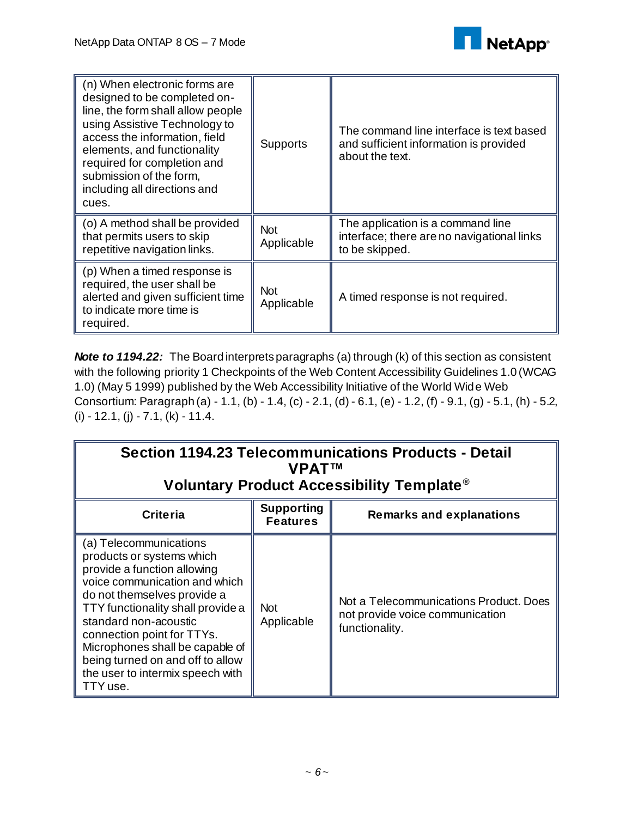

| (n) When electronic forms are<br>designed to be completed on-<br>line, the form shall allow people<br>using Assistive Technology to<br>access the information, field<br>elements, and functionality<br>required for completion and<br>submission of the form,<br>including all directions and<br>cues. | <b>Supports</b>          | The command line interface is text based.<br>and sufficient information is provided<br>about the text. |
|--------------------------------------------------------------------------------------------------------------------------------------------------------------------------------------------------------------------------------------------------------------------------------------------------------|--------------------------|--------------------------------------------------------------------------------------------------------|
| (o) A method shall be provided<br>that permits users to skip<br>repetitive navigation links.                                                                                                                                                                                                           | <b>Not</b><br>Applicable | The application is a command line<br>interface; there are no navigational links<br>to be skipped.      |
| (p) When a timed response is<br>required, the user shall be<br>alerted and given sufficient time<br>to indicate more time is<br>required.                                                                                                                                                              | <b>Not</b><br>Applicable | A timed response is not required.                                                                      |

*Note to 1194.22:* The Board interprets paragraphs (a) through (k) of this section as consistent with the following priority 1 Checkpoints of the Web Content Accessibility Guidelines 1.0 (WCAG 1.0) (May 5 1999) published by the Web Accessibility Initiative of the World Wide Web Consortium: Paragraph (a) - 1.1, (b) - 1.4, (c) - 2.1, (d) - 6.1, (e) - 1.2, (f) - 9.1, (g) - 5.1, (h) - 5.2,  $(i) - 12.1$ ,  $(j) - 7.1$ ,  $(k) - 11.4$ .

| Section 1194.23 Telecommunications Products - Detail<br><b>VPAT<sup>TM</sup></b><br>Voluntary Product Accessibility Template <sup>®</sup>                                                                                                                                                                                                                             |                                      |                                                                                             |
|-----------------------------------------------------------------------------------------------------------------------------------------------------------------------------------------------------------------------------------------------------------------------------------------------------------------------------------------------------------------------|--------------------------------------|---------------------------------------------------------------------------------------------|
| <b>Criteria</b>                                                                                                                                                                                                                                                                                                                                                       | <b>Supporting</b><br><b>Features</b> | <b>Remarks and explanations</b>                                                             |
| (a) Telecommunications<br>products or systems which<br>provide a function allowing<br>voice communication and which<br>do not themselves provide a<br>TTY functionality shall provide a<br>standard non-acoustic<br>connection point for TTYs.<br>Microphones shall be capable of<br>being turned on and off to allow<br>the user to intermix speech with<br>TTY use. | <b>Not</b><br>Applicable             | Not a Telecommunications Product. Does<br>not provide voice communication<br>functionality. |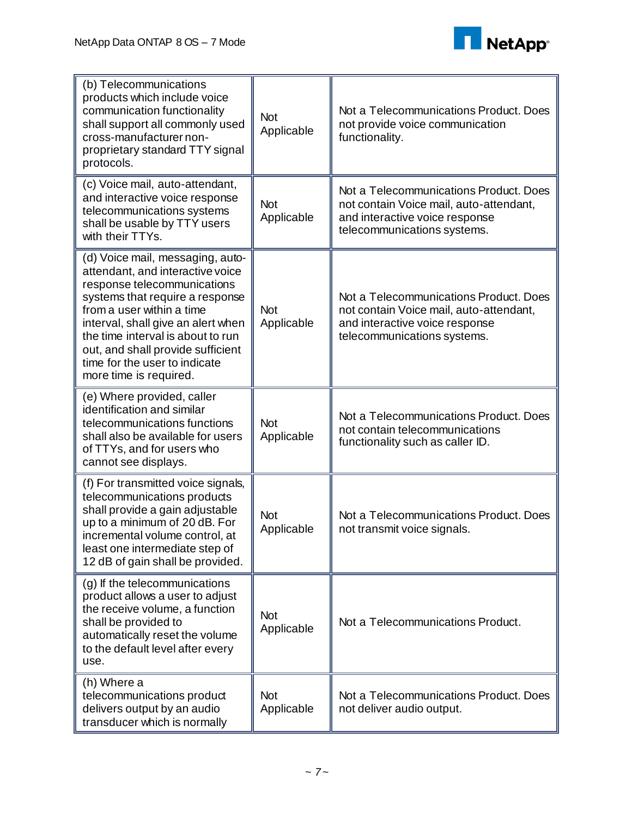

| (b) Telecommunications<br>products which include voice<br>communication functionality<br>shall support all commonly used<br>cross-manufacturer non-<br>proprietary standard TTY signal<br>protocols.                                                                                                                                           | <b>Not</b><br>Applicable | Not a Telecommunications Product. Does<br>not provide voice communication<br>functionality.                                                        |
|------------------------------------------------------------------------------------------------------------------------------------------------------------------------------------------------------------------------------------------------------------------------------------------------------------------------------------------------|--------------------------|----------------------------------------------------------------------------------------------------------------------------------------------------|
| (c) Voice mail, auto-attendant,<br>and interactive voice response<br>telecommunications systems<br>shall be usable by TTY users<br>with their TTYs.                                                                                                                                                                                            | <b>Not</b><br>Applicable | Not a Telecommunications Product. Does<br>not contain Voice mail, auto-attendant,<br>and interactive voice response<br>telecommunications systems. |
| (d) Voice mail, messaging, auto-<br>attendant, and interactive voice<br>response telecommunications<br>systems that require a response<br>from a user within a time<br>interval, shall give an alert when<br>the time interval is about to run<br>out, and shall provide sufficient<br>time for the user to indicate<br>more time is required. | <b>Not</b><br>Applicable | Not a Telecommunications Product, Does<br>not contain Voice mail, auto-attendant,<br>and interactive voice response<br>telecommunications systems. |
| (e) Where provided, caller<br>identification and similar<br>telecommunications functions<br>shall also be available for users<br>of TTYs, and for users who<br>cannot see displays.                                                                                                                                                            | <b>Not</b><br>Applicable | Not a Telecommunications Product. Does<br>not contain telecommunications<br>functionality such as caller ID.                                       |
| (f) For transmitted voice signals,<br>telecommunications products<br>shall provide a gain adjustable<br>up to a minimum of 20 dB. For<br>incremental volume control, at<br>least one intermediate step of<br>12 dB of gain shall be provided.                                                                                                  | <b>Not</b><br>Applicable | Not a Telecommunications Product. Does<br>not transmit voice signals.                                                                              |
| (g) If the telecommunications<br>product allows a user to adjust<br>the receive volume, a function<br>shall be provided to<br>automatically reset the volume<br>to the default level after every<br>use.                                                                                                                                       | <b>Not</b><br>Applicable | Not a Telecommunications Product.                                                                                                                  |
| (h) Where a<br>telecommunications product<br>delivers output by an audio<br>transducer which is normally                                                                                                                                                                                                                                       | <b>Not</b><br>Applicable | Not a Telecommunications Product. Does<br>not deliver audio output.                                                                                |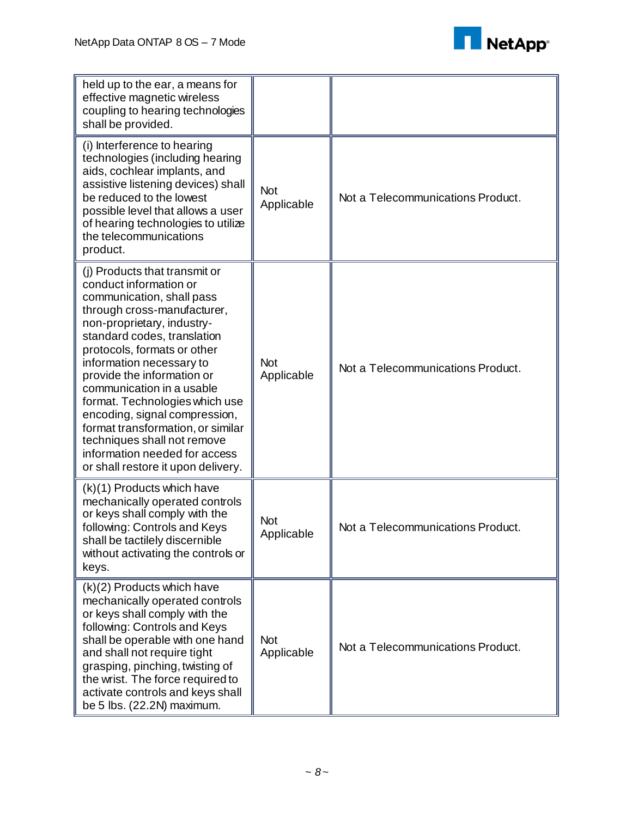

| held up to the ear, a means for<br>effective magnetic wireless<br>coupling to hearing technologies<br>shall be provided.                                                                                                                                                                                                                                                                                                                                                                                             |                          |                                   |
|----------------------------------------------------------------------------------------------------------------------------------------------------------------------------------------------------------------------------------------------------------------------------------------------------------------------------------------------------------------------------------------------------------------------------------------------------------------------------------------------------------------------|--------------------------|-----------------------------------|
| (i) Interference to hearing<br>technologies (including hearing<br>aids, cochlear implants, and<br>assistive listening devices) shall<br>be reduced to the lowest<br>possible level that allows a user<br>of hearing technologies to utilize<br>the telecommunications<br>product.                                                                                                                                                                                                                                    | <b>Not</b><br>Applicable | Not a Telecommunications Product. |
| (j) Products that transmit or<br>conduct information or<br>communication, shall pass<br>through cross-manufacturer,<br>non-proprietary, industry-<br>standard codes, translation<br>protocols, formats or other<br>information necessary to<br>provide the information or<br>communication in a usable<br>format. Technologies which use<br>encoding, signal compression,<br>format transformation, or similar<br>techniques shall not remove<br>information needed for access<br>or shall restore it upon delivery. | <b>Not</b><br>Applicable | Not a Telecommunications Product. |
| (k)(1) Products which have<br>mechanically operated controls<br>or keys shall comply with the<br>following: Controls and Keys<br>shall be tactilely discernible<br>without activating the controls or<br>keys.                                                                                                                                                                                                                                                                                                       | Not<br>Applicable        | Not a Telecommunications Product. |
| (k)(2) Products which have<br>mechanically operated controls<br>or keys shall comply with the<br>following: Controls and Keys<br>shall be operable with one hand<br>and shall not require tight<br>grasping, pinching, twisting of<br>the wrist. The force required to<br>activate controls and keys shall<br>be 5 lbs. (22.2N) maximum.                                                                                                                                                                             | <b>Not</b><br>Applicable | Not a Telecommunications Product. |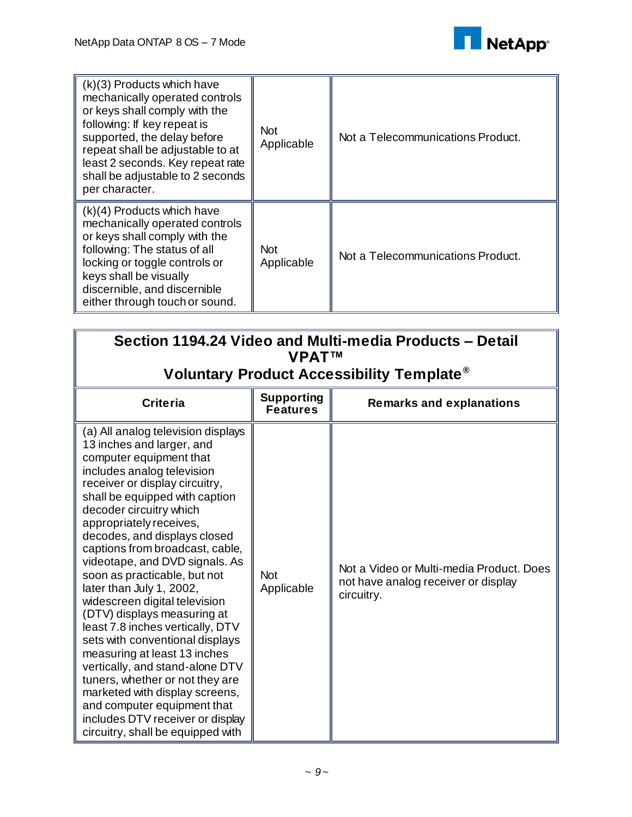

| $(k)(3)$ Products which have<br>mechanically operated controls<br>or keys shall comply with the<br>following: If key repeat is<br>supported, the delay before<br>repeat shall be adjustable to at<br>least 2 seconds. Key repeat rate<br>shall be adjustable to 2 seconds<br>per character. | <b>Not</b><br>Applicable | Not a Telecommunications Product. |
|---------------------------------------------------------------------------------------------------------------------------------------------------------------------------------------------------------------------------------------------------------------------------------------------|--------------------------|-----------------------------------|
| $(k)(4)$ Products which have<br>mechanically operated controls<br>or keys shall comply with the<br>following: The status of all<br>locking or toggle controls or<br>keys shall be visually<br>discernible, and discernible<br>either through touch or sound.                                | <b>Not</b><br>Applicable | Not a Telecommunications Product. |

| Section 1194.24 Video and Multi-media Products – Detail<br><b>VPATTM</b>                                                                                                                                                                                                                                                                                                                                                                                                                                                                                                                                                                                                                                                                                                                                   |                                      |                                                                                               |  |
|------------------------------------------------------------------------------------------------------------------------------------------------------------------------------------------------------------------------------------------------------------------------------------------------------------------------------------------------------------------------------------------------------------------------------------------------------------------------------------------------------------------------------------------------------------------------------------------------------------------------------------------------------------------------------------------------------------------------------------------------------------------------------------------------------------|--------------------------------------|-----------------------------------------------------------------------------------------------|--|
| Voluntary Product Accessibility Template <sup>®</sup>                                                                                                                                                                                                                                                                                                                                                                                                                                                                                                                                                                                                                                                                                                                                                      |                                      |                                                                                               |  |
| <b>Criteria</b>                                                                                                                                                                                                                                                                                                                                                                                                                                                                                                                                                                                                                                                                                                                                                                                            | <b>Supporting</b><br><b>Features</b> | <b>Remarks and explanations</b>                                                               |  |
| (a) All analog television displays<br>13 inches and larger, and<br>computer equipment that<br>includes analog television<br>receiver or display circuitry,<br>shall be equipped with caption<br>decoder circuitry which<br>appropriately receives,<br>decodes, and displays closed<br>captions from broadcast, cable,<br>videotape, and DVD signals. As<br>soon as practicable, but not<br>later than July 1, 2002,<br>widescreen digital television<br>(DTV) displays measuring at<br>least 7.8 inches vertically, DTV<br>sets with conventional displays<br>measuring at least 13 inches<br>vertically, and stand-alone DTV<br>tuners, whether or not they are<br>marketed with display screens,<br>and computer equipment that<br>includes DTV receiver or display<br>circuitry, shall be equipped with | <b>Not</b><br>Applicable             | Not a Video or Multi-media Product, Does<br>not have analog receiver or display<br>circuitry. |  |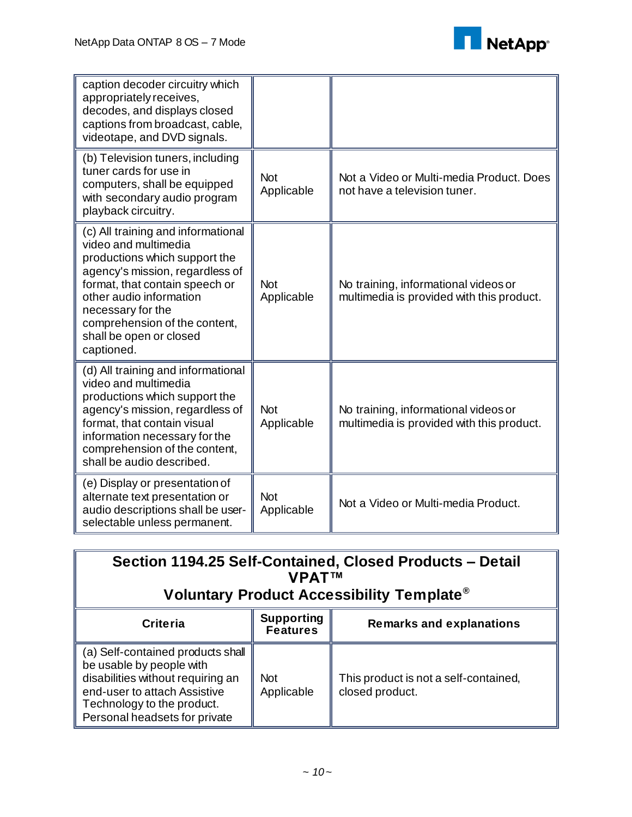

| caption decoder circuitry which                                                                                                                                                                                                                                                            |                          |                                                                                   |
|--------------------------------------------------------------------------------------------------------------------------------------------------------------------------------------------------------------------------------------------------------------------------------------------|--------------------------|-----------------------------------------------------------------------------------|
| appropriately receives,<br>decodes, and displays closed<br>captions from broadcast, cable,<br>videotape, and DVD signals.                                                                                                                                                                  |                          |                                                                                   |
| (b) Television tuners, including<br>tuner cards for use in<br>computers, shall be equipped<br>with secondary audio program<br>playback circuitry.                                                                                                                                          | <b>Not</b><br>Applicable | Not a Video or Multi-media Product. Does<br>not have a television tuner.          |
| (c) All training and informational<br>video and multimedia<br>productions which support the<br>agency's mission, regardless of<br>format, that contain speech or<br>other audio information<br>necessary for the<br>comprehension of the content,<br>shall be open or closed<br>captioned. | <b>Not</b><br>Applicable | No training, informational videos or<br>multimedia is provided with this product. |
| (d) All training and informational<br>video and multimedia<br>productions which support the<br>agency's mission, regardless of<br>format, that contain visual<br>information necessary for the<br>comprehension of the content,<br>shall be audio described.                               | <b>Not</b><br>Applicable | No training, informational videos or<br>multimedia is provided with this product. |
| (e) Display or presentation of<br>alternate text presentation or<br>audio descriptions shall be user-<br>selectable unless permanent.                                                                                                                                                      | <b>Not</b><br>Applicable | Not a Video or Multi-media Product.                                               |

| Section 1194.25 Self-Contained, Closed Products - Detail<br><b>VPATTM</b><br>Voluntary Product Accessibility Template <sup>®</sup>                                                                |                                      |                                                          |
|---------------------------------------------------------------------------------------------------------------------------------------------------------------------------------------------------|--------------------------------------|----------------------------------------------------------|
| <b>Criteria</b>                                                                                                                                                                                   | <b>Supporting</b><br><b>Features</b> | <b>Remarks and explanations</b>                          |
| (a) Self-contained products shall<br>be usable by people with<br>disabilities without requiring an<br>end-user to attach Assistive<br>Technology to the product.<br>Personal headsets for private | <b>Not</b><br>Applicable             | This product is not a self-contained,<br>closed product. |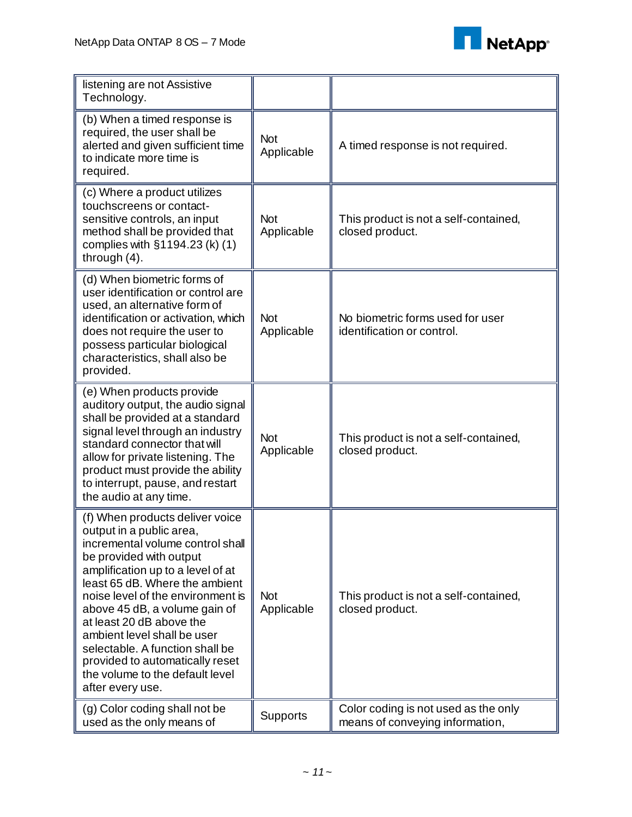

| listening are not Assistive<br>Technology.                                                                                                                                                                                                                                                                                                                                                                                                                      |                          |                                                                         |
|-----------------------------------------------------------------------------------------------------------------------------------------------------------------------------------------------------------------------------------------------------------------------------------------------------------------------------------------------------------------------------------------------------------------------------------------------------------------|--------------------------|-------------------------------------------------------------------------|
| (b) When a timed response is<br>required, the user shall be<br>alerted and given sufficient time<br>to indicate more time is<br>required.                                                                                                                                                                                                                                                                                                                       | <b>Not</b><br>Applicable | A timed response is not required.                                       |
| (c) Where a product utilizes<br>touchscreens or contact-<br>sensitive controls, an input<br>method shall be provided that<br>complies with §1194.23 (k) (1)<br>through $(4)$ .                                                                                                                                                                                                                                                                                  | <b>Not</b><br>Applicable | This product is not a self-contained,<br>closed product.                |
| (d) When biometric forms of<br>user identification or control are<br>used, an alternative form of<br>identification or activation, which<br>does not require the user to<br>possess particular biological<br>characteristics, shall also be<br>provided.                                                                                                                                                                                                        | <b>Not</b><br>Applicable | No biometric forms used for user<br>identification or control.          |
| (e) When products provide<br>auditory output, the audio signal<br>shall be provided at a standard<br>signal level through an industry<br>standard connector that will<br>allow for private listening. The<br>product must provide the ability<br>to interrupt, pause, and restart<br>the audio at any time.                                                                                                                                                     | <b>Not</b><br>Applicable | This product is not a self-contained,<br>closed product.                |
| (f) When products deliver voice<br>output in a public area,<br>incremental volume control shall<br>be provided with output<br>amplification up to a level of at<br>least 65 dB. Where the ambient<br>noise level of the environment is<br>above 45 dB, a volume gain of<br>at least 20 dB above the<br>ambient level shall be user<br>selectable. A function shall be<br>provided to automatically reset<br>the volume to the default level<br>after every use. | <b>Not</b><br>Applicable | This product is not a self-contained,<br>closed product.                |
| (g) Color coding shall not be<br>used as the only means of                                                                                                                                                                                                                                                                                                                                                                                                      | Supports                 | Color coding is not used as the only<br>means of conveying information, |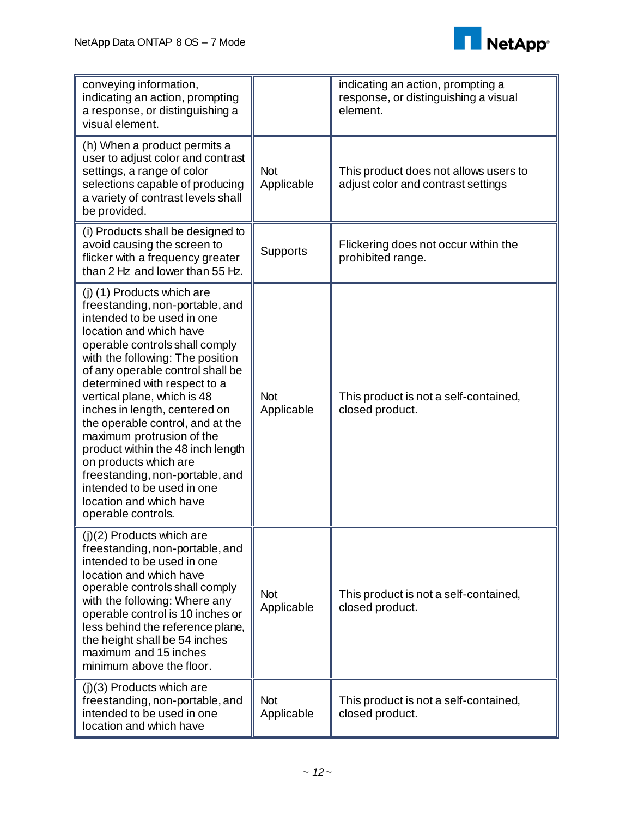

| conveying information,<br>indicating an action, prompting<br>a response, or distinguishing a<br>visual element.                                                                                                                                                                                                                                                                                                                                                                                                                                                                   |                          | indicating an action, prompting a<br>response, or distinguishing a visual<br>element. |
|-----------------------------------------------------------------------------------------------------------------------------------------------------------------------------------------------------------------------------------------------------------------------------------------------------------------------------------------------------------------------------------------------------------------------------------------------------------------------------------------------------------------------------------------------------------------------------------|--------------------------|---------------------------------------------------------------------------------------|
| (h) When a product permits a<br>user to adjust color and contrast<br>settings, a range of color<br>selections capable of producing<br>a variety of contrast levels shall<br>be provided.                                                                                                                                                                                                                                                                                                                                                                                          | <b>Not</b><br>Applicable | This product does not allows users to<br>adjust color and contrast settings           |
| (i) Products shall be designed to<br>avoid causing the screen to<br>flicker with a frequency greater<br>than 2 Hz and lower than 55 Hz.                                                                                                                                                                                                                                                                                                                                                                                                                                           | Supports                 | Flickering does not occur within the<br>prohibited range.                             |
| (j) (1) Products which are<br>freestanding, non-portable, and<br>intended to be used in one<br>location and which have<br>operable controls shall comply<br>with the following: The position<br>of any operable control shall be<br>determined with respect to a<br>vertical plane, which is 48<br>inches in length, centered on<br>the operable control, and at the<br>maximum protrusion of the<br>product within the 48 inch length<br>on products which are<br>freestanding, non-portable, and<br>intended to be used in one<br>location and which have<br>operable controls. | <b>Not</b><br>Applicable | This product is not a self-contained,<br>closed product.                              |
| (j)(2) Products which are<br>freestanding, non-portable, and<br>intended to be used in one<br>location and which have<br>operable controls shall comply<br>with the following: Where any<br>operable control is 10 inches or<br>less behind the reference plane,<br>the height shall be 54 inches<br>maximum and 15 inches<br>minimum above the floor.                                                                                                                                                                                                                            | <b>Not</b><br>Applicable | This product is not a self-contained,<br>closed product.                              |
| $(j)(3)$ Products which are<br>freestanding, non-portable, and<br>intended to be used in one<br>location and which have                                                                                                                                                                                                                                                                                                                                                                                                                                                           | <b>Not</b><br>Applicable | This product is not a self-contained,<br>closed product.                              |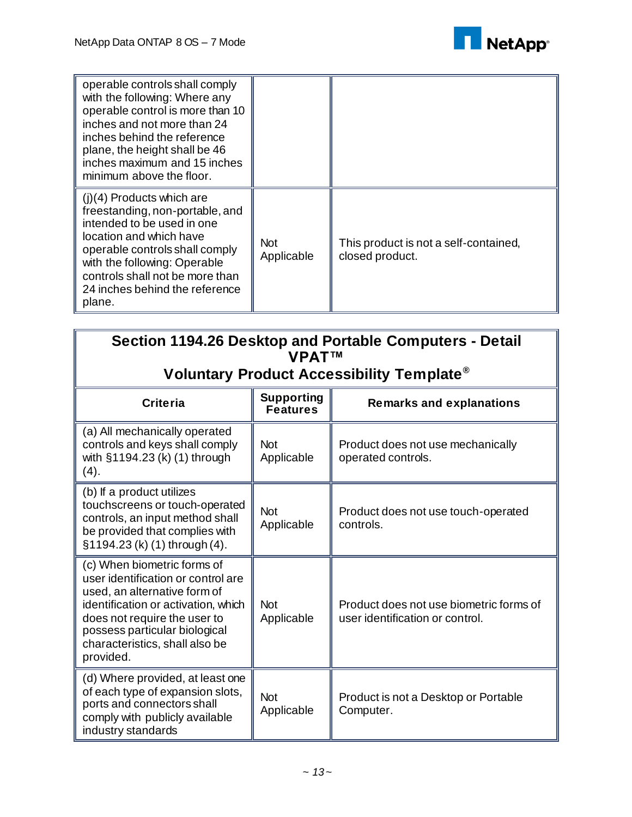

| operable controls shall comply<br>with the following: Where any<br>operable control is more than 10<br>inches and not more than 24<br>inches behind the reference<br>plane, the height shall be 46<br>inches maximum and 15 inches<br>minimum above the floor.           |                          |                                                          |
|--------------------------------------------------------------------------------------------------------------------------------------------------------------------------------------------------------------------------------------------------------------------------|--------------------------|----------------------------------------------------------|
| $(i)(4)$ Products which are<br>freestanding, non-portable, and<br>intended to be used in one<br>location and which have<br>operable controls shall comply<br>with the following: Operable<br>controls shall not be more than<br>24 inches behind the reference<br>plane. | <b>Not</b><br>Applicable | This product is not a self-contained,<br>closed product. |

| Section 1194.26 Desktop and Portable Computers - Detail<br><b>VPATTM</b>                                                                                                                                                                                 |                                      |                                                                            |  |
|----------------------------------------------------------------------------------------------------------------------------------------------------------------------------------------------------------------------------------------------------------|--------------------------------------|----------------------------------------------------------------------------|--|
| Voluntary Product Accessibility Template®                                                                                                                                                                                                                |                                      |                                                                            |  |
| <b>Criteria</b>                                                                                                                                                                                                                                          | <b>Supporting</b><br><b>Features</b> | <b>Remarks and explanations</b>                                            |  |
| (a) All mechanically operated<br>controls and keys shall comply<br>with §1194.23 (k) (1) through<br>(4).                                                                                                                                                 | <b>Not</b><br>Applicable             | Product does not use mechanically<br>operated controls.                    |  |
| (b) If a product utilizes<br>touchscreens or touch-operated<br>controls, an input method shall<br>be provided that complies with<br>§1194.23 (k) (1) through (4).                                                                                        | <b>Not</b><br>Applicable             | Product does not use touch-operated<br>controls.                           |  |
| (c) When biometric forms of<br>user identification or control are<br>used, an alternative form of<br>identification or activation, which<br>does not require the user to<br>possess particular biological<br>characteristics, shall also be<br>provided. | <b>Not</b><br>Applicable             | Product does not use biometric forms of<br>user identification or control. |  |
| (d) Where provided, at least one<br>of each type of expansion slots,<br>ports and connectors shall<br>comply with publicly available<br>industry standards                                                                                               | <b>Not</b><br>Applicable             | Product is not a Desktop or Portable<br>Computer.                          |  |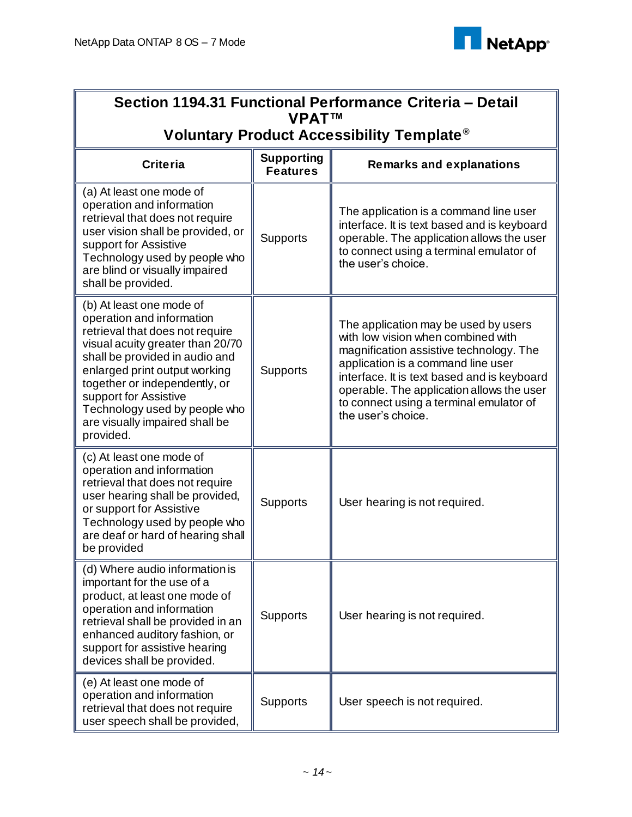

| Section 1194.31 Functional Performance Criteria - Detail<br><b>VPATTM</b>                                                                                                                                                                                                                                                                 |                                      |                                                                                                                                                                                                                                                                                                                          |  |
|-------------------------------------------------------------------------------------------------------------------------------------------------------------------------------------------------------------------------------------------------------------------------------------------------------------------------------------------|--------------------------------------|--------------------------------------------------------------------------------------------------------------------------------------------------------------------------------------------------------------------------------------------------------------------------------------------------------------------------|--|
| Voluntary Product Accessibility Template <sup>®</sup>                                                                                                                                                                                                                                                                                     |                                      |                                                                                                                                                                                                                                                                                                                          |  |
| <b>Criteria</b>                                                                                                                                                                                                                                                                                                                           | <b>Supporting</b><br><b>Features</b> | <b>Remarks and explanations</b>                                                                                                                                                                                                                                                                                          |  |
| (a) At least one mode of<br>operation and information<br>retrieval that does not require<br>user vision shall be provided, or<br>support for Assistive<br>Technology used by people who<br>are blind or visually impaired<br>shall be provided.                                                                                           | <b>Supports</b>                      | The application is a command line user<br>interface. It is text based and is keyboard<br>operable. The application allows the user<br>to connect using a terminal emulator of<br>the user's choice.                                                                                                                      |  |
| (b) At least one mode of<br>operation and information<br>retrieval that does not require<br>visual acuity greater than 20/70<br>shall be provided in audio and<br>enlarged print output working<br>together or independently, or<br>support for Assistive<br>Technology used by people who<br>are visually impaired shall be<br>provided. | <b>Supports</b>                      | The application may be used by users<br>with low vision when combined with<br>magnification assistive technology. The<br>application is a command line user<br>interface. It is text based and is keyboard<br>operable. The application allows the user<br>to connect using a terminal emulator of<br>the user's choice. |  |
| (c) At least one mode of<br>operation and information<br>retrieval that does not require<br>user hearing shall be provided,<br>or support for Assistive<br>Technology used by people who<br>are deaf or hard of hearing shall<br>be provided                                                                                              | Supports                             | User hearing is not required.                                                                                                                                                                                                                                                                                            |  |
| (d) Where audio information is<br>important for the use of a<br>product, at least one mode of<br>operation and information<br>retrieval shall be provided in an<br>enhanced auditory fashion, or<br>support for assistive hearing<br>devices shall be provided.                                                                           | <b>Supports</b>                      | User hearing is not required.                                                                                                                                                                                                                                                                                            |  |
| (e) At least one mode of<br>operation and information<br>retrieval that does not require<br>user speech shall be provided,                                                                                                                                                                                                                | <b>Supports</b>                      | User speech is not required.                                                                                                                                                                                                                                                                                             |  |